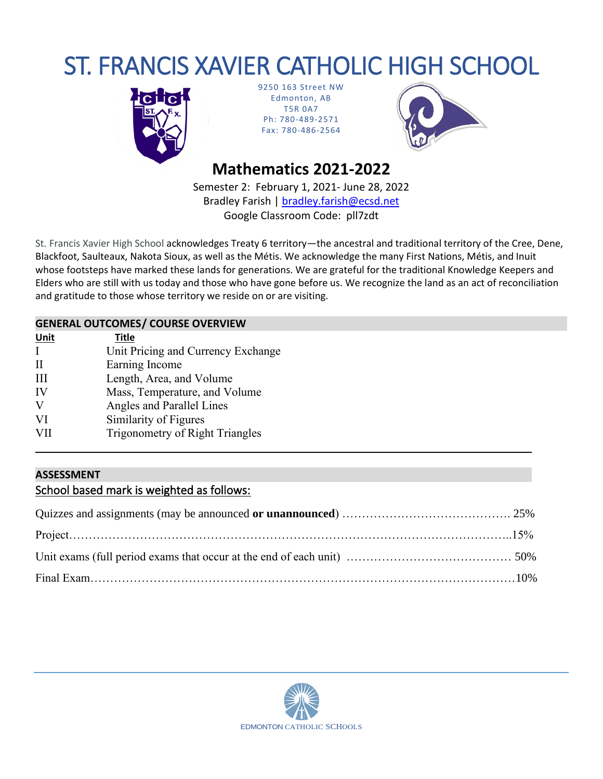# ST. FRANCIS XAVIER CATHOLIC HIGH SCHOOL



9250 163 Street NW Edmonton, AB T5R 0A7 Ph: 780-489-2571 Fax: 780-486-2564



# **Mathematics 2021-2022**

Semester 2: February 1, 2021- June 28, 2022 Bradley Farish | [bradley.farish@ecsd.net](mailto:bradley.farish@ecsd.net) Google Classroom Code: pll7zdt

St*.* Francis Xavier High School acknowledges Treaty 6 territory—the ancestral and traditional territory of the Cree, Dene, Blackfoot, Saulteaux, Nakota Sioux, as well as the Métis. We acknowledge the many First Nations, Métis, and Inuit whose footsteps have marked these lands for generations. We are grateful for the traditional Knowledge Keepers and Elders who are still with us today and those who have gone before us. We recognize the land as an act of reconciliation and gratitude to those whose territory we reside on or are visiting.

## **GENERAL OUTCOMES/ COURSE OVERVIEW**

| <b>Unit</b> | <b>Title</b>                           |
|-------------|----------------------------------------|
|             | Unit Pricing and Currency Exchange     |
| $\rm II$    | Earning Income                         |
| Ш           | Length, Area, and Volume               |
| IV          | Mass, Temperature, and Volume          |
| V           | Angles and Parallel Lines              |
| VI          | Similarity of Figures                  |
| VII         | <b>Trigonometry of Right Triangles</b> |
|             |                                        |

# **ASSESSMENT** School based mark is weighted as follows:

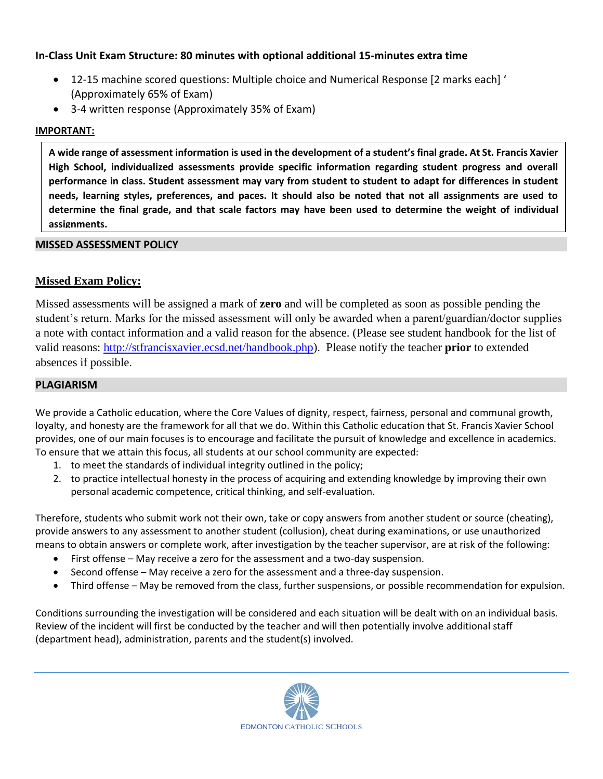#### **In-Class Unit Exam Structure: 80 minutes with optional additional 15-minutes extra time**

- 12-15 machine scored questions: Multiple choice and Numerical Response [2 marks each] ' (Approximately 65% of Exam)
- 3-4 written response (Approximately 35% of Exam)

#### **IMPORTANT:**

**A wide range of assessment information is used in the development of a student's final grade. At St. Francis Xavier High School, individualized assessments provide specific information regarding student progress and overall performance in class. Student assessment may vary from student to student to adapt for differences in student needs, learning styles, preferences, and paces. It should also be noted that not all assignments are used to determine the final grade, and that scale factors may have been used to determine the weight of individual assignments.**

#### **MISSED ASSESSMENT POLICY**

## **Missed Exam Policy:**

Missed assessments will be assigned a mark of **zero** and will be completed as soon as possible pending the student's return. Marks for the missed assessment will only be awarded when a parent/guardian/doctor supplies a note with contact information and a valid reason for the absence. (Please see student handbook for the list of valid reasons: [http://stfrancisxavier.ecsd.net/handbook.php\)](http://stfrancisxavier.ecsd.net/handbook.php). Please notify the teacher **prior** to extended absences if possible.

#### **PLAGIARISM**

We provide a Catholic education, where the Core Values of dignity, respect, fairness, personal and communal growth, loyalty, and honesty are the framework for all that we do. Within this Catholic education that St. Francis Xavier School provides, one of our main focuses is to encourage and facilitate the pursuit of knowledge and excellence in academics. To ensure that we attain this focus, all students at our school community are expected:

- 1. to meet the standards of individual integrity outlined in the policy;
- 2. to practice intellectual honesty in the process of acquiring and extending knowledge by improving their own personal academic competence, critical thinking, and self-evaluation.

Therefore, students who submit work not their own, take or copy answers from another student or source (cheating), provide answers to any assessment to another student (collusion), cheat during examinations, or use unauthorized means to obtain answers or complete work, after investigation by the teacher supervisor, are at risk of the following:

- First offense May receive a zero for the assessment and a two-day suspension.
- Second offense May receive a zero for the assessment and a three-day suspension.
- Third offense May be removed from the class, further suspensions, or possible recommendation for expulsion.

Conditions surrounding the investigation will be considered and each situation will be dealt with on an individual basis. Review of the incident will first be conducted by the teacher and will then potentially involve additional staff (department head), administration, parents and the student(s) involved.